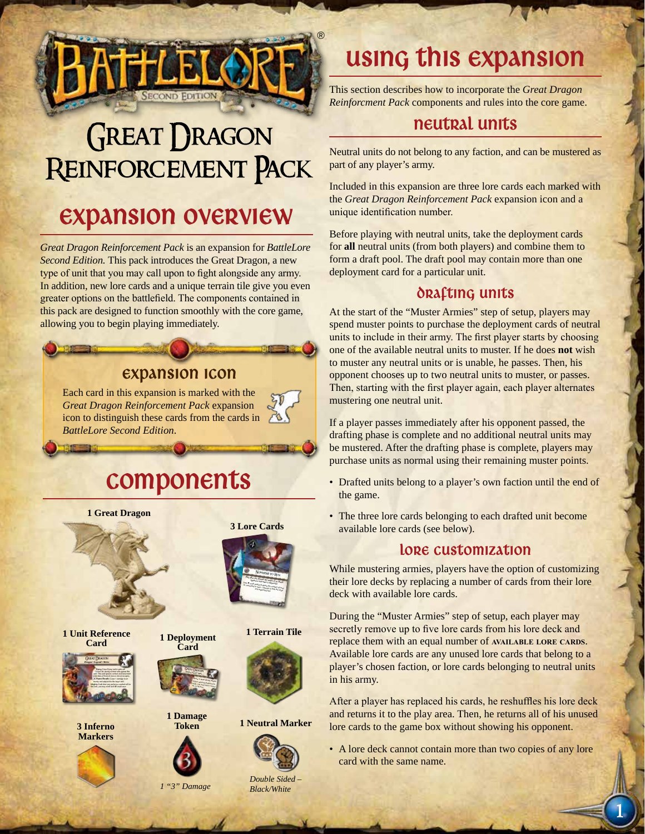

# **GREAT DRAGON** Reinforcement Pack

### **EXPANSION OVERVIEW**

*Great Dragon Reinforcement Pack* is an expansion for *BattleLore Second Edition.* This pack introduces the Great Dragon, a new type of unit that you may call upon to fight alongside any army. In addition, new lore cards and a unique terrain tile give you even greater options on the battlefield. The components contained in this pack are designed to function smoothly with the core game, allowing you to begin playing immediately.

#### Expansion Icon

Each card in this expansion is marked with the *Great Dragon Reinforcement Pack* expansion icon to distinguish these cards from the cards in *BattleLore Second Edition*.

## Components



## using this expansion

This section describes how to incorporate the *Great Dragon Reinforcment Pack* components and rules into the core game.

#### neutral units

Neutral units do not belong to any faction, and can be mustered as part of any player's army.

Included in this expansion are three lore cards each marked with the *Great Dragon Reinforcement Pack* expansion icon and a unique identification number.

Before playing with neutral units, take the deployment cards for **all** neutral units (from both players) and combine them to form a draft pool. The draft pool may contain more than one deployment card for a particular unit.

#### DRAFTING UNITS

At the start of the "Muster Armies" step of setup, players may spend muster points to purchase the deployment cards of neutral units to include in their army. The first player starts by choosing one of the available neutral units to muster. If he does **not** wish to muster any neutral units or is unable, he passes. Then, his opponent chooses up to two neutral units to muster, or passes. Then, starting with the first player again, each player alternates mustering one neutral unit.

If a player passes immediately after his opponent passed, the drafting phase is complete and no additional neutral units may be mustered. After the drafting phase is complete, players may purchase units as normal using their remaining muster points.

- Drafted units belong to a player's own faction until the end of the game.
- The three lore cards belonging to each drafted unit become available lore cards (see below).

#### LORE CUSTOMIZATION

While mustering armies, players have the option of customizing their lore decks by replacing a number of cards from their lore deck with available lore cards.

During the "Muster Armies" step of setup, each player may secretly remove up to five lore cards from his lore deck and replace them with an equal number of **AVAILABLE** LORE CARDS. Available lore cards are any unused lore cards that belong to a player's chosen faction, or lore cards belonging to neutral units in his army.

After a player has replaced his cards, he reshuffles his lore deck and returns it to the play area. Then, he returns all of his unused lore cards to the game box without showing his opponent.

- A lore deck cannot contain more than two copies of any lore card with the same name.
- 1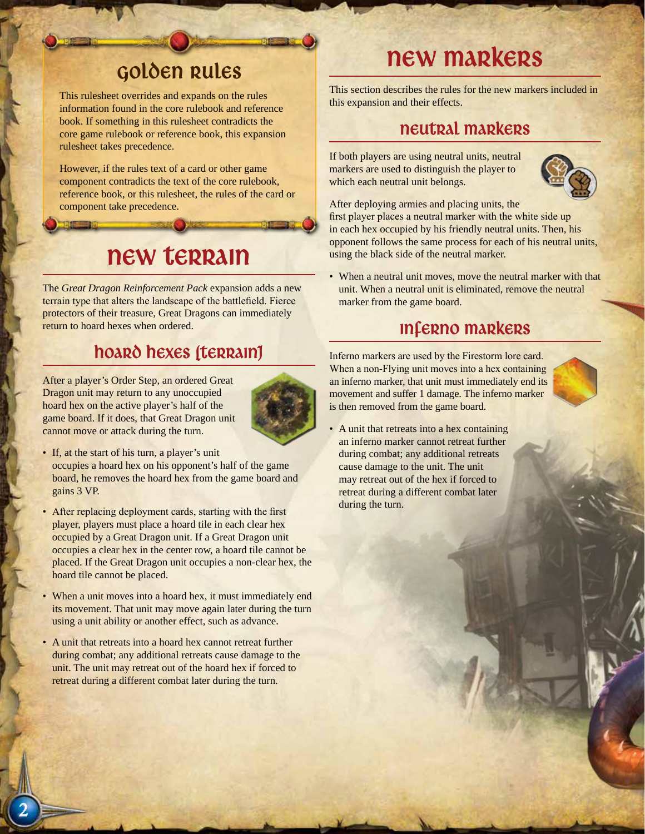### Golden Rules

This rulesheet overrides and expands on the rules information found in the core rulebook and reference book. If something in this rulesheet contradicts the core game rulebook or reference book, this expansion rulesheet takes precedence.

However, if the rules text of a card or other game component contradicts the text of the core rulebook, reference book, or this rulesheet, the rules of the card or component take precedence.

### new terrain

The *Great Dragon Reinforcement Pack* expansion adds a new terrain type that alters the landscape of the battlefield. Fierce protectors of their treasure, Great Dragons can immediately return to hoard hexes when ordered.

### Hoard hexes (terrain)

After a player's Order Step, an ordered Great Dragon unit may return to any unoccupied hoard hex on the active player's half of the game board. If it does, that Great Dragon unit cannot move or attack during the turn.



- If, at the start of his turn, a player's unit occupies a hoard hex on his opponent's half of the game board, he removes the hoard hex from the game board and gains 3 VP.
- After replacing deployment cards, starting with the first player, players must place a hoard tile in each clear hex occupied by a Great Dragon unit. If a Great Dragon unit occupies a clear hex in the center row, a hoard tile cannot be placed. If the Great Dragon unit occupies a non-clear hex, the hoard tile cannot be placed.
- When a unit moves into a hoard hex, it must immediately end its movement. That unit may move again later during the turn using a unit ability or another effect, such as advance.
- A unit that retreats into a hoard hex cannot retreat further during combat; any additional retreats cause damage to the unit. The unit may retreat out of the hoard hex if forced to retreat during a different combat later during the turn.

## new markers

This section describes the rules for the new markers included in this expansion and their effects.

#### neutral Markers

If both players are using neutral units, neutral markers are used to distinguish the player to which each neutral unit belongs.



After deploying armies and placing units, the first player places a neutral marker with the white side up in each hex occupied by his friendly neutral units. Then, his opponent follows the same process for each of his neutral units, using the black side of the neutral marker.

When a neutral unit moves, move the neutral marker with that unit. When a neutral unit is eliminated, remove the neutral marker from the game board.

### Inferno markers

Inferno markers are used by the Firestorm lore card. When a non-Flying unit moves into a hex containing an inferno marker, that unit must immediately end its movement and suffer 1 damage. The inferno marker is then removed from the game board.



• A unit that retreats into a hex containing an inferno marker cannot retreat further during combat; any additional retreats cause damage to the unit. The unit may retreat out of the hex if forced to retreat during a different combat later during the turn.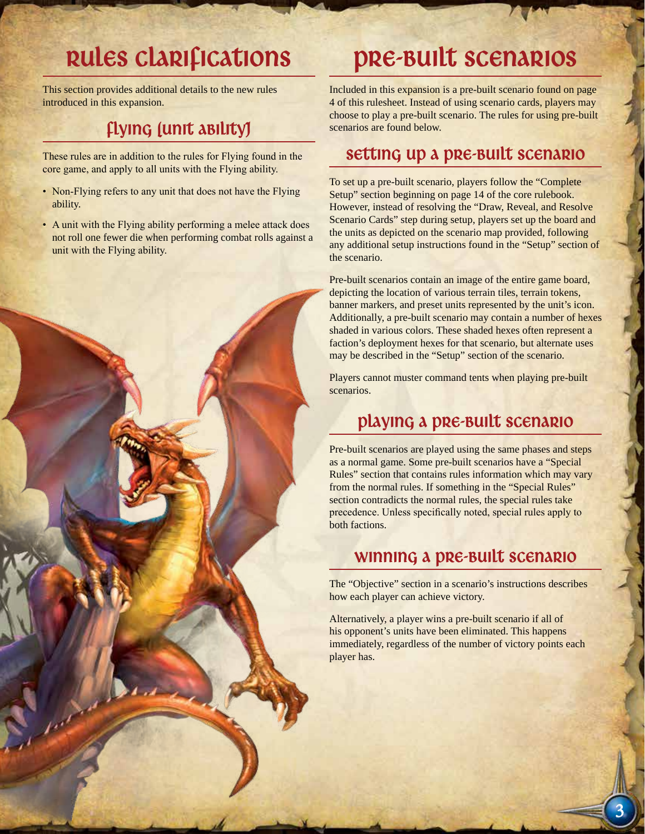## Rules Clarifications

This section provides additional details to the new rules introduced in this expansion.

### Flying (unit ability)

These rules are in addition to the rules for Flying found in the core game, and apply to all units with the Flying ability.

- Non-Flying refers to any unit that does not have the Flying ability.
- A unit with the Flying ability performing a melee attack does not roll one fewer die when performing combat rolls against a unit with the Flying ability.



## Pre-Built Scenarios

Included in this expansion is a pre-built scenario found on page 4 of this rulesheet. Instead of using scenario cards, players may choose to play a pre-built scenario. The rules for using pre-built scenarios are found below.

#### Setting up a pre-built scenario

To set up a pre-built scenario, players follow the "Complete Setup" section beginning on page 14 of the core rulebook. However, instead of resolving the "Draw, Reveal, and Resolve Scenario Cards" step during setup, players set up the board and the units as depicted on the scenario map provided, following any additional setup instructions found in the "Setup" section of the scenario.

Pre-built scenarios contain an image of the entire game board, depicting the location of various terrain tiles, terrain tokens, banner markers, and preset units represented by the unit's icon. Additionally, a pre-built scenario may contain a number of hexes shaded in various colors. These shaded hexes often represent a faction's deployment hexes for that scenario, but alternate uses may be described in the "Setup" section of the scenario.

Players cannot muster command tents when playing pre-built scenarios.

### Playing a pre-built scenario

Pre-built scenarios are played using the same phases and steps as a normal game. Some pre-built scenarios have a "Special Rules" section that contains rules information which may vary from the normal rules. If something in the "Special Rules" section contradicts the normal rules, the special rules take precedence. Unless specifically noted, special rules apply to both factions.

#### Winning a pre-built Scenario

The "Objective" section in a scenario's instructions describes how each player can achieve victory.

Alternatively, a player wins a pre-built scenario if all of his opponent's units have been eliminated. This happens immediately, regardless of the number of victory points each player has.